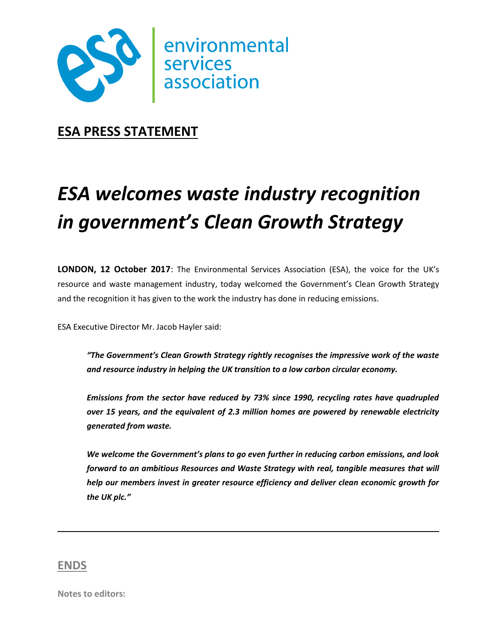

**ESA PRESS STATEMENT**

## *ESA welcomes waste industry recognition in government's Clean Growth Strategy*

**LONDON, 12 October 2017**: The Environmental Services Association (ESA), the voice for the UK's resource and waste management industry, today welcomed the Government's Clean Growth Strategy and the recognition it has given to the work the industry has done in reducing emissions.

ESA Executive Director Mr. Jacob Hayler said:

*"The Government's Clean Growth Strategy rightly recognises the impressive work of the waste and resource industry in helping the UK transition to a low carbon circular economy.* 

*Emissions from the sector have reduced by 73% since 1990, recycling rates have quadrupled over 15 years, and the equivalent of 2.3 million homes are powered by renewable electricity generated from waste.* 

*We welcome the Government's plans to go even further in reducing carbon emissions, and look forward to an ambitious Resources and Waste Strategy with real, tangible measures that will help our members invest in greater resource efficiency and deliver clean economic growth for the UK plc."*

## **ENDS**

**Notes to editors:**